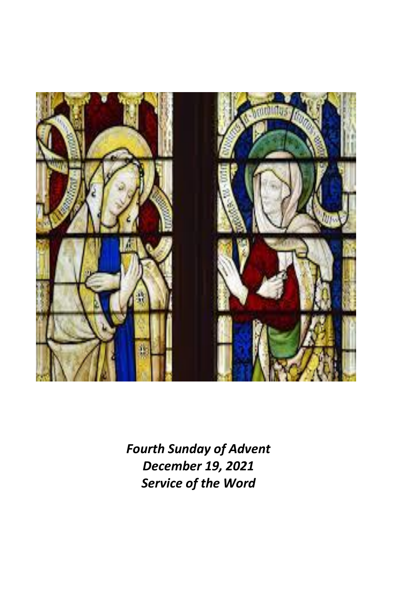

*Fourth Sunday of Advent December 19, 2021 Service of the Word*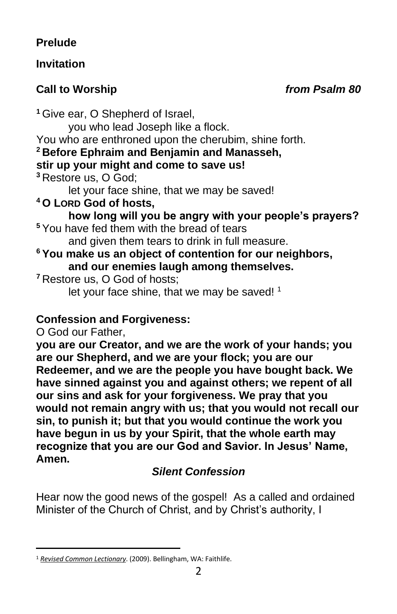## **Prelude**

## **Invitation**

# **Call to Worship** *from Psalm 80*

**<sup>1</sup>** Give ear, O Shepherd of Israel, you who lead Joseph like a flock. You who are enthroned upon the cherubim, shine forth. **<sup>2</sup> Before Ephraim and Benjamin and Manasseh, stir up your might and come to save us! <sup>3</sup>** Restore us, O God; let your face shine, that we may be saved! **<sup>4</sup> O LORD God of hosts, how long will you be angry with your people's prayers? <sup>5</sup>** You have fed them with the bread of tears and given them tears to drink in full measure. **<sup>6</sup> You make us an object of contention for our neighbors, and our enemies laugh among themselves. <sup>7</sup>** Restore us, O God of hosts; let your face shine, that we may be saved! <sup>1</sup> **Confession and Forgiveness:** O God our Father,

**you are our Creator, and we are the work of your hands; you are our Shepherd, and we are your flock; you are our Redeemer, and we are the people you have bought back. We have sinned against you and against others; we repent of all our sins and ask for your forgiveness. We pray that you would not remain angry with us; that you would not recall our sin, to punish it; but that you would continue the work you have begun in us by your Spirit, that the whole earth may recognize that you are our God and Savior. In Jesus' Name, Amen.**

# *Silent Confession*

Hear now the good news of the gospel! As a called and ordained Minister of the Church of Christ, and by Christ's authority, I

<sup>1</sup> *[Revised Common Lectionary](https://ref.ly/logosres/rcl?ref=YearMonthDay.12-19-2021&off=297&ctx=tion+B%0aPsalm+80:1%E2%80%937%0a~+%0aNEW+TESTAMENT%0aHebr)*. (2009). Bellingham, WA: Faithlife.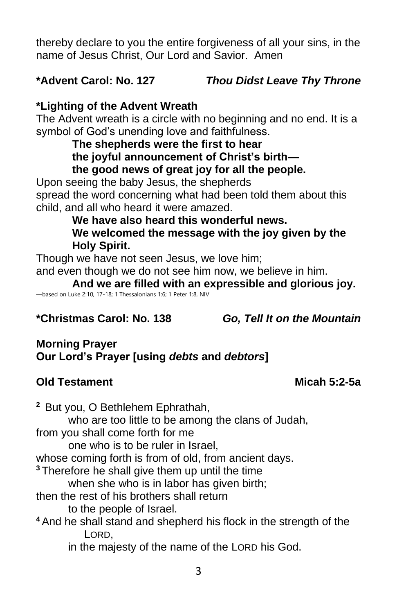thereby declare to you the entire forgiveness of all your sins, in the name of Jesus Christ, Our Lord and Savior. Amen

# **\*Advent Carol: No. 127** *Thou Didst Leave Thy Throne*

## **\*Lighting of the Advent Wreath**

The Advent wreath is a circle with no beginning and no end. It is a symbol of God's unending love and faithfulness.

**The shepherds were the first to hear the joyful announcement of Christ's birth the good news of great joy for all the people.** 

Upon seeing the baby Jesus, the shepherds spread the word concerning what had been told them about this child, and all who heard it were amazed.

> **We have also heard this wonderful news. We welcomed the message with the joy given by the Holy Spirit.**

Though we have not seen Jesus, we love him;

and even though we do not see him now, we believe in him.

**And we are filled with an expressible and glorious joy.**  —based on Luke 2:10, 17-18; 1 Thessalonians 1:6; 1 Peter 1:8, NIV

**\*Christmas Carol: No. 138** *Go, Tell It on the Mountain*

### **Morning Prayer Our Lord's Prayer [using** *debts* **and** *debtors***]**

## **Old Testament Micah 5:2-5a**

**<sup>2</sup>** But you, O Bethlehem Ephrathah, who are too little to be among the clans of Judah, from you shall come forth for me one who is to be ruler in Israel, whose coming forth is from of old, from ancient days. **<sup>3</sup>** Therefore he shall give them up until the time when she who is in labor has given birth; then the rest of his brothers shall return to the people of Israel. **<sup>4</sup>** And he shall stand and shepherd his flock in the strength of the LORD, in the majesty of the name of the LORD his God.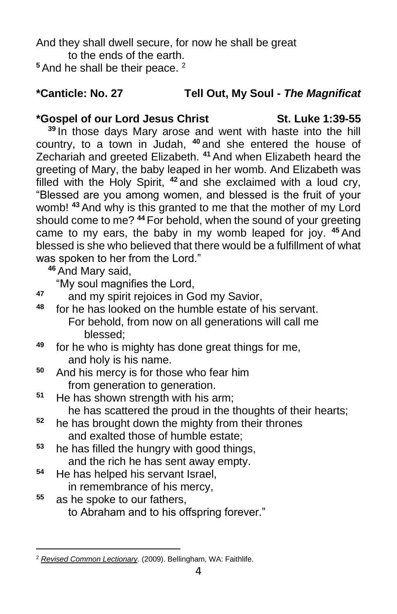And they shall dwell secure, for now he shall be great to the ends of the earth.

<sup>5</sup> And he shall be their peace. <sup>2</sup>

## **\*Canticle: No. 27 Tell Out, My Soul -** *The Magnificat*

### **\*Gospel of our Lord Jesus Christ St. Luke 1:39-55**

**<sup>39</sup>** In those days Mary arose and went with haste into the hill country, to a town in Judah, **<sup>40</sup>** and she entered the house of Zechariah and greeted Elizabeth. **<sup>41</sup>** And when Elizabeth heard the greeting of Mary, the baby leaped in her womb. And Elizabeth was filled with the Holy Spirit, **<sup>42</sup>** and she exclaimed with a loud cry, "Blessed are you among women, and blessed is the fruit of your womb! **<sup>43</sup>** And why is this granted to me that the mother of my Lord should come to me? **<sup>44</sup>** For behold, when the sound of your greeting came to my ears, the baby in my womb leaped for joy. **<sup>45</sup>** And blessed is she who believed that there would be a fulfillment of what was spoken to her from the Lord."

**<sup>46</sup>** And Mary said,

"My soul magnifies the Lord,

- **<sup>47</sup>** and my spirit rejoices in God my Savior,
- **<sup>48</sup>** for he has looked on the humble estate of his servant. For behold, from now on all generations will call me blessed;
- **<sup>49</sup>** for he who is mighty has done great things for me, and holy is his name.
- **<sup>50</sup>** And his mercy is for those who fear him from generation to generation.
- **<sup>51</sup>** He has shown strength with his arm; he has scattered the proud in the thoughts of their hearts;
- **<sup>52</sup>** he has brought down the mighty from their thrones and exalted those of humble estate;
- **<sup>53</sup>** he has filled the hungry with good things, and the rich he has sent away empty.
- **<sup>54</sup>** He has helped his servant Israel, in remembrance of his mercy,
- **<sup>55</sup>** as he spoke to our fathers, to Abraham and to his offspring forever."

<sup>2</sup> *[Revised Common Lectionary](https://ref.ly/logosres/rcl?ref=YearMonthDay.12-19-2021&off=239&ctx=TAMENT%0aMicah+5:2%E2%80%935a%0a~+%0aPSALM%0aOption+A%0aLuk)*. (2009). Bellingham, WA: Faithlife.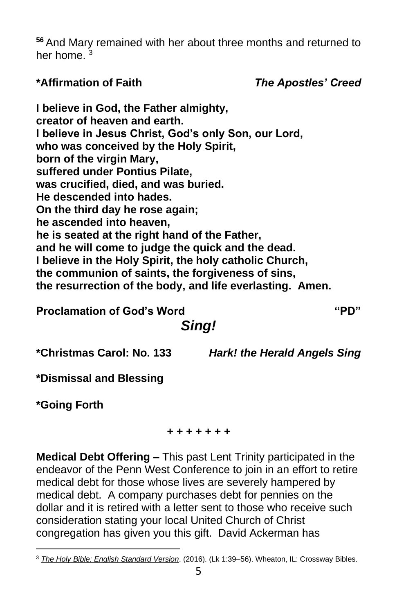**<sup>56</sup>** And Mary remained with her about three months and returned to her home.<sup>3</sup>

**\*Affirmation of Faith** *The Apostles' Creed*

**I believe in God, the Father almighty, creator of heaven and earth. I believe in Jesus Christ, God's only Son, our Lord, who was conceived by the Holy Spirit, born of the virgin Mary, suffered under Pontius Pilate, was crucified, died, and was buried. He descended into hades. On the third day he rose again; he ascended into heaven, he is seated at the right hand of the Father, and he will come to judge the quick and the dead. I believe in the Holy Spirit, the holy catholic Church, the communion of saints, the forgiveness of sins, the resurrection of the body, and life everlasting. Amen.**

**Proclamation of God's Word "PD"**

# *Sing!*

**\*Christmas Carol: No. 133** *Hark! the Herald Angels Sing*

**\*Dismissal and Blessing**

**\*Going Forth**

### *+ + + + + + +*

**Medical Debt Offering –** This past Lent Trinity participated in the endeavor of the Penn West Conference to join in an effort to retire medical debt for those whose lives are severely hampered by medical debt. A company purchases debt for pennies on the dollar and it is retired with a letter sent to those who receive such consideration stating your local United Church of Christ congregation has given you this gift. David Ackerman has

<sup>3</sup> *[The Holy Bible: English Standard Version](https://ref.ly/logosres/esv?ref=BibleESV.Lk1.39&off=22&ctx=ry+Visits+Elizabeth%0a~39%C2%A0%E2%80%A2In+those+days+Ma)*. (2016). (Lk 1:39–56). Wheaton, IL: Crossway Bibles.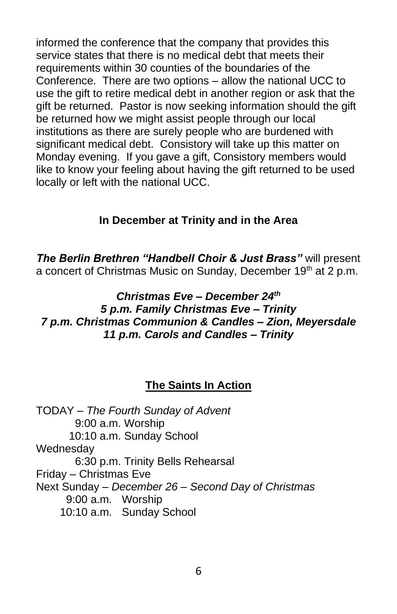informed the conference that the company that provides this service states that there is no medical debt that meets their requirements within 30 counties of the boundaries of the Conference. There are two options – allow the national UCC to use the gift to retire medical debt in another region or ask that the gift be returned. Pastor is now seeking information should the gift be returned how we might assist people through our local institutions as there are surely people who are burdened with significant medical debt. Consistory will take up this matter on Monday evening. If you gave a gift, Consistory members would like to know your feeling about having the gift returned to be used locally or left with the national UCC.

### **In December at Trinity and in the Area**

*The Berlin Brethren "Handbell Choir & Just Brass"* will present a concert of Christmas Music on Sunday, December 19<sup>th</sup> at 2 p.m.

#### *Christmas Eve – December 24th 5 p.m. Family Christmas Eve – Trinity 7 p.m. Christmas Communion & Candles – Zion, Meyersdale 11 p.m. Carols and Candles – Trinity*

## **The Saints In Action**

TODAY – *The Fourth Sunday of Advent* 9:00 a.m. Worship 10:10 a.m. Sunday School Wednesday 6:30 p.m. Trinity Bells Rehearsal Friday – Christmas Eve Next Sunday – *December 26 – Second Day of Christmas* 9:00 a.m. Worship 10:10 a.m. Sunday School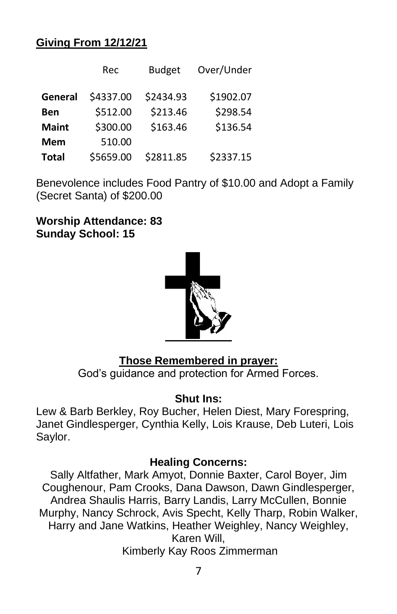### **Giving From 12/12/21**

|              | Rec       | <b>Budget</b> | Over/Under |
|--------------|-----------|---------------|------------|
| General      | \$4337.00 | \$2434.93     | \$1902.07  |
| <b>Ben</b>   | \$512.00  | \$213.46      | \$298.54   |
| <b>Maint</b> | \$300.00  | \$163.46      | \$136.54   |
| <b>Mem</b>   | 510.00    |               |            |
| <b>Total</b> | \$5659.00 | \$2811.85     | \$2337.15  |

Benevolence includes Food Pantry of \$10.00 and Adopt a Family (Secret Santa) of \$200.00

**Worship Attendance: 83 Sunday School: 15**



## **Those Remembered in prayer:**

God's guidance and protection for Armed Forces.

### **Shut Ins:**

Lew & Barb Berkley, Roy Bucher, Helen Diest, Mary Forespring, Janet Gindlesperger, Cynthia Kelly, Lois Krause, Deb Luteri, Lois Saylor.

### **Healing Concerns:**

Sally Altfather, Mark Amyot, Donnie Baxter, Carol Boyer, Jim Coughenour, Pam Crooks, Dana Dawson, Dawn Gindlesperger, Andrea Shaulis Harris, Barry Landis, Larry McCullen, Bonnie Murphy, Nancy Schrock, Avis Specht, Kelly Tharp, Robin Walker, Harry and Jane Watkins, Heather Weighley, Nancy Weighley, Karen Will, Kimberly Kay Roos Zimmerman